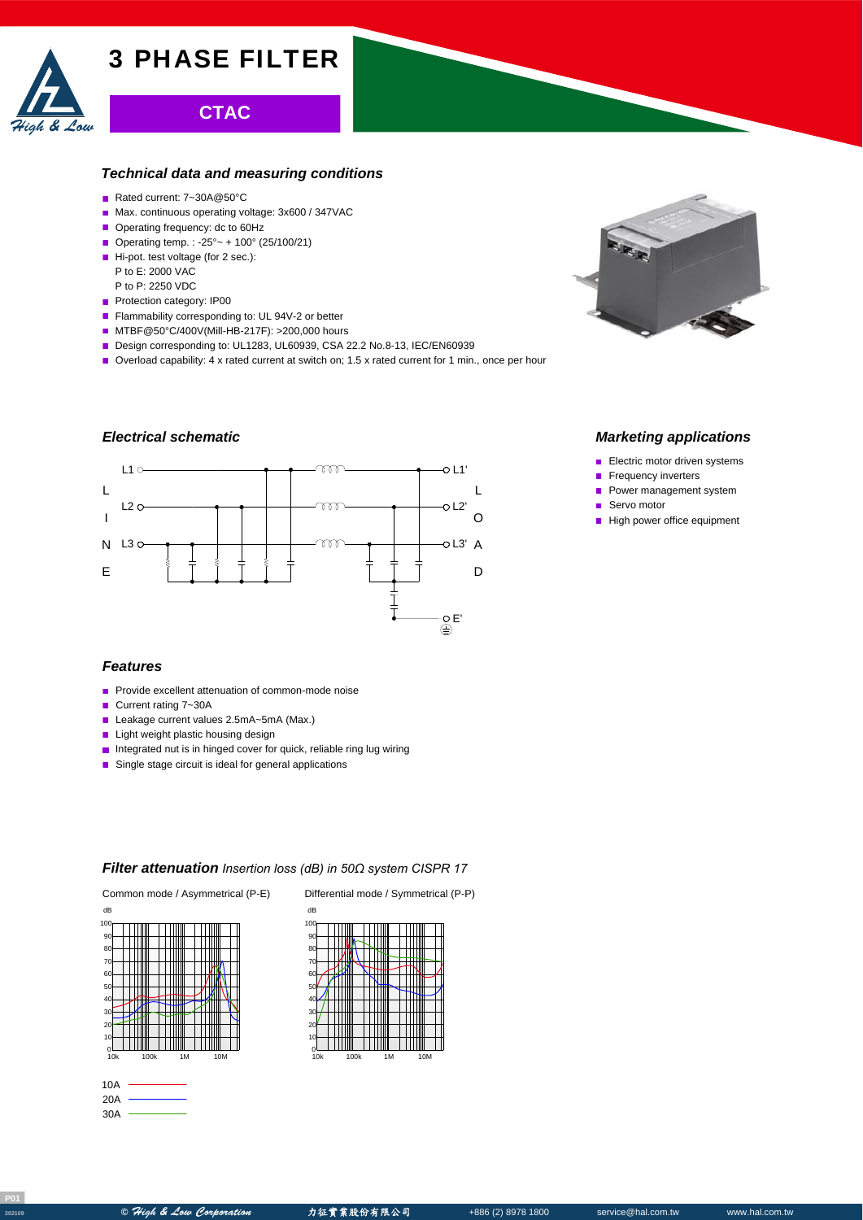

# **CTAC**

#### *Technical data and measuring conditions*

- Rated current: 7~30A@50°C
- Max. continuous operating voltage: 3x600 / 347VAC
- Operating frequency: dc to 60Hz
- Operating temp. : -25° ~ + 100° (25/100/21)
- Hi-pot. test voltage (for 2 sec.): P to E: 2000 VAC
- P to P: 2250 VDC
- Protection category: IP00
- Flammability corresponding to: UL 94V-2 or better
- MTBF@50°C/400V(Mill-HB-217F): >200,000 hours
- Design corresponding to: UL1283, UL60939, CSA 22.2 No.8-13, IEC/EN60939
- Overload capability: 4 x rated current at switch on; 1.5 x rated current for 1 min., once per hour

## *Electrical schematic*



### *Features*

- **Provide excellent attenuation of common-mode noise**
- Current rating 7~30A
- Leakage current values 2.5mA~5mA (Max.)
- **Light weight plastic housing design**
- **Integrated nut is in hinged cover for quick, reliable ring lug wiring**
- Single stage circuit is ideal for general applications

### *Filter attenuation Insertion loss (dB) in 50Ω system CISPR 17*



| 10A |  |
|-----|--|
| 20A |  |
| 30A |  |

Common mode / Asymmetrical (P-E) Differential mode / Symmetrical (P-P)





#### *Marketing applications*

- Electric motor driven systems
- Frequency inverters  $\blacksquare$
- Power management system
- Servo motor  $\mathbf{r}$
- High power office equipment